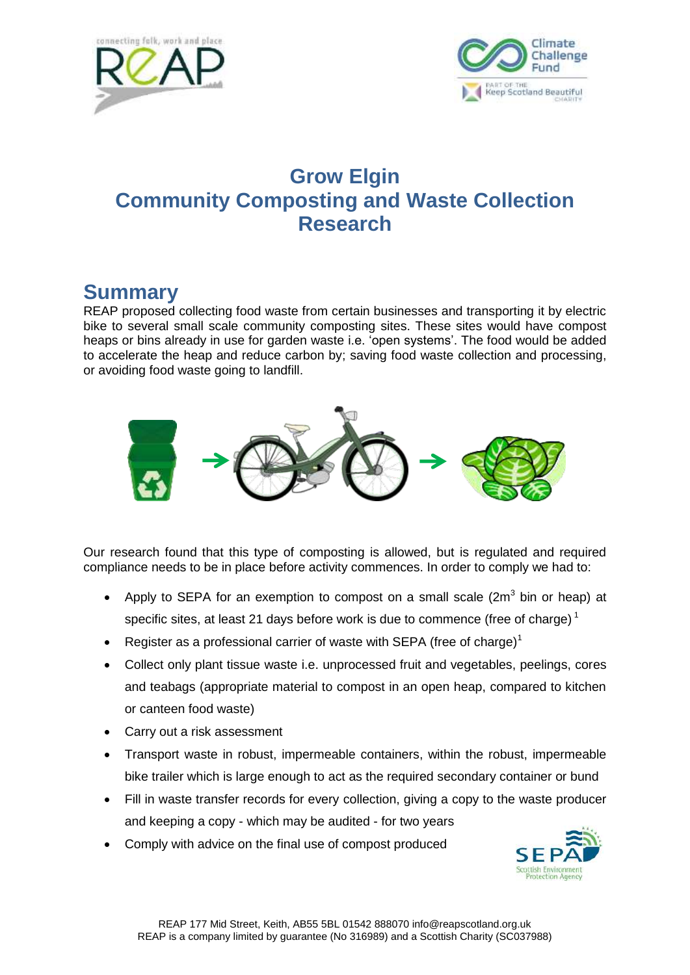



# **Grow Elgin Community Composting and Waste Collection Research**

# **Summary**

REAP proposed collecting food waste from certain businesses and transporting it by electric bike to several small scale community composting sites. These sites would have compost heaps or bins already in use for garden waste i.e. 'open systems'. The food would be added to accelerate the heap and reduce carbon by; saving food waste collection and processing, or avoiding food waste going to landfill.



Our research found that this type of composting is allowed, but is regulated and required compliance needs to be in place before activity commences. In order to comply we had to:

- Apply to SEPA for an exemption to compost on a small scale  $(2m^3)$  bin or heap) at specific sites, at least 21 days before work is due to commence (free of charge)<sup>1</sup>
- Register as a professional carrier of waste with SEPA (free of charge)<sup>1</sup>
- Collect only plant tissue waste i.e. unprocessed fruit and vegetables, peelings, cores and teabags (appropriate material to compost in an open heap, compared to kitchen or canteen food waste)
- Carry out a risk assessment
- Transport waste in robust, impermeable containers, within the robust, impermeable bike trailer which is large enough to act as the required secondary container or bund
- Fill in waste transfer records for every collection, giving a copy to the waste producer and keeping a copy - which may be audited - for two years
- Comply with advice on the final use of compost produced

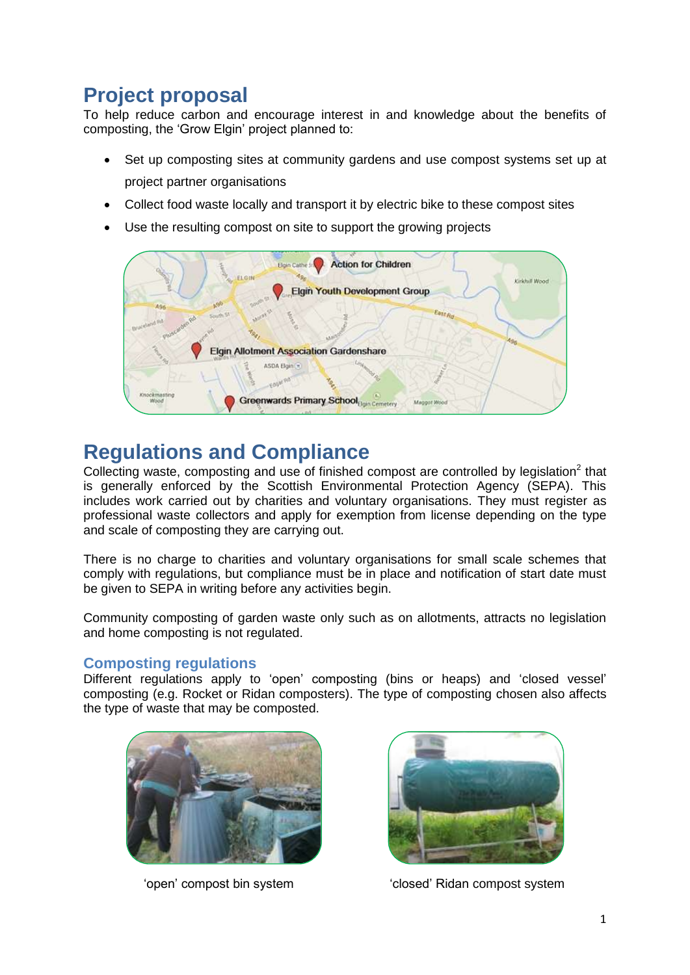# **Project proposal**

To help reduce carbon and encourage interest in and knowledge about the benefits of composting, the 'Grow Elgin' project planned to:

- Set up composting sites at community gardens and use compost systems set up at project partner organisations
- Collect food waste locally and transport it by electric bike to these compost sites
- Use the resulting compost on site to support the growing projects



# **Regulations and Compliance**

Collecting waste, composting and use of finished compost are controlled by legislation $2$  that is generally enforced by the Scottish Environmental Protection Agency (SEPA). This includes work carried out by charities and voluntary organisations. They must register as professional waste collectors and apply for exemption from license depending on the type and scale of composting they are carrying out.

There is no charge to charities and voluntary organisations for small scale schemes that comply with regulations, but compliance must be in place and notification of start date must be given to SEPA in writing before any activities begin.

Community composting of garden waste only such as on allotments, attracts no legislation and home composting is not regulated.

### **Composting regulations**

Different regulations apply to 'open' composting (bins or heaps) and 'closed vessel' composting (e.g. Rocket or Ridan composters). The type of composting chosen also affects the type of waste that may be composted.





'open' compost bin system 'closed' Ridan compost system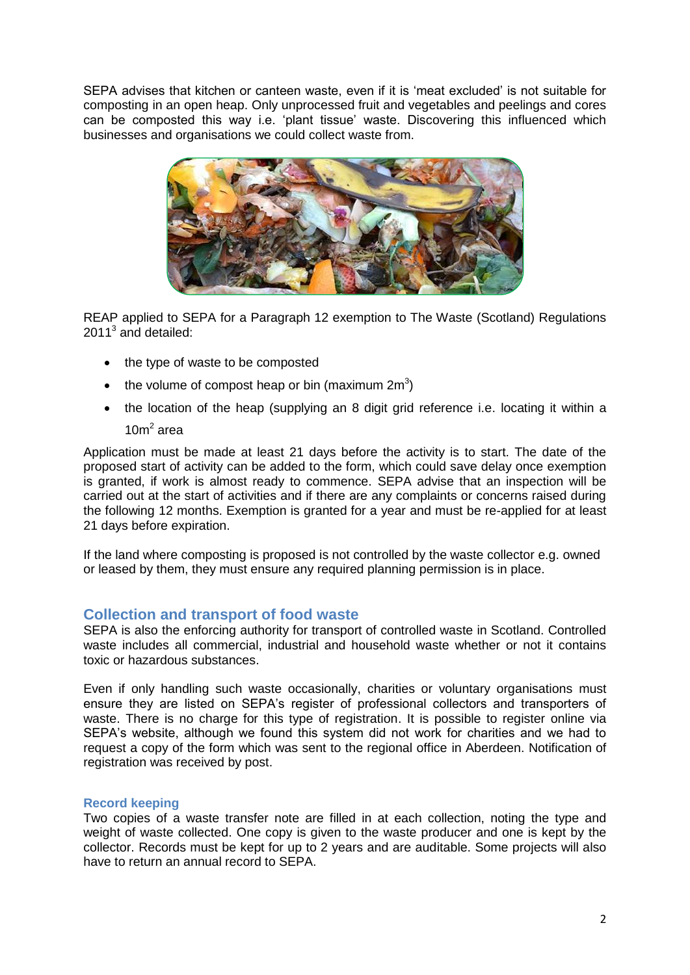SEPA advises that kitchen or canteen waste, even if it is 'meat excluded' is not suitable for composting in an open heap. Only unprocessed fruit and vegetables and peelings and cores can be composted this way i.e. 'plant tissue' waste. Discovering this influenced which businesses and organisations we could collect waste from.



REAP applied to SEPA for a Paragraph 12 exemption to The Waste (Scotland) Regulations 2011<sup>3</sup> and detailed:

- the type of waste to be composted
- the volume of compost heap or bin (maximum  $2m<sup>3</sup>$ )
- the location of the heap (supplying an 8 digit grid reference i.e. locating it within a  $10m<sup>2</sup>$  area

Application must be made at least 21 days before the activity is to start. The date of the proposed start of activity can be added to the form, which could save delay once exemption is granted, if work is almost ready to commence. SEPA advise that an inspection will be carried out at the start of activities and if there are any complaints or concerns raised during the following 12 months. Exemption is granted for a year and must be re-applied for at least 21 days before expiration.

If the land where composting is proposed is not controlled by the waste collector e.g. owned or leased by them, they must ensure any required planning permission is in place.

### **Collection and transport of food waste**

SEPA is also the enforcing authority for transport of controlled waste in Scotland. Controlled waste includes all commercial, industrial and household waste whether or not it contains toxic or hazardous substances.

Even if only handling such waste occasionally, charities or voluntary organisations must ensure they are listed on SEPA's register of professional collectors and transporters of waste. There is no charge for this type of registration. It is possible to register online via SEPA's website, although we found this system did not work for charities and we had to request a copy of the form which was sent to the regional office in Aberdeen. Notification of registration was received by post.

#### **Record keeping**

Two copies of a waste transfer note are filled in at each collection, noting the type and weight of waste collected. One copy is given to the waste producer and one is kept by the collector. Records must be kept for up to 2 years and are auditable. Some projects will also have to return an annual record to SEPA.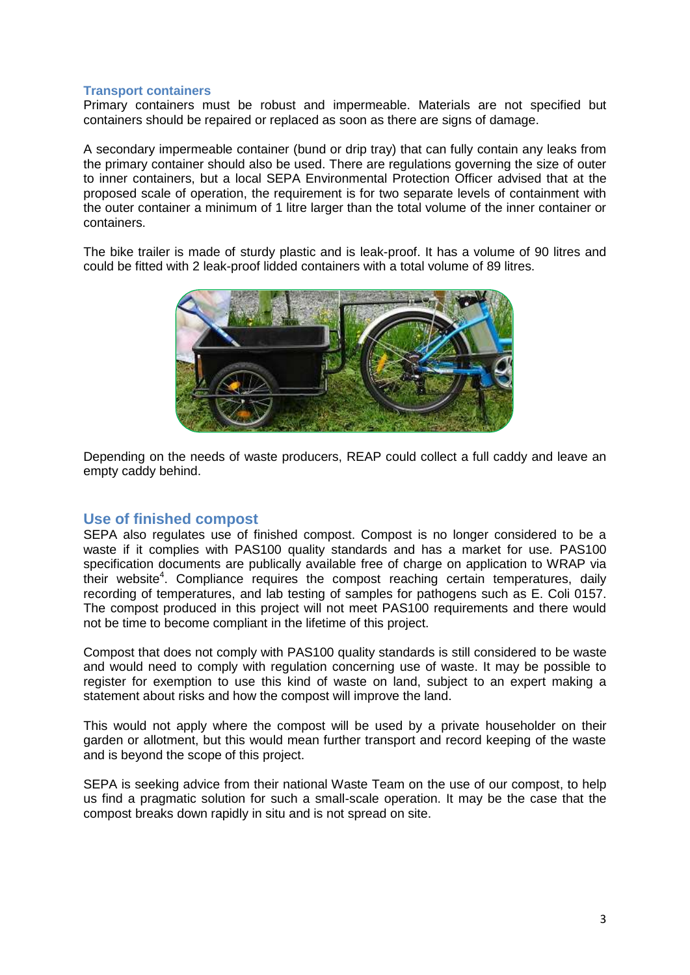#### **Transport containers**

Primary containers must be robust and impermeable. Materials are not specified but containers should be repaired or replaced as soon as there are signs of damage.

A secondary impermeable container (bund or drip tray) that can fully contain any leaks from the primary container should also be used. There are regulations governing the size of outer to inner containers, but a local SEPA Environmental Protection Officer advised that at the proposed scale of operation, the requirement is for two separate levels of containment with the outer container a minimum of 1 litre larger than the total volume of the inner container or containers.

The bike trailer is made of sturdy plastic and is leak-proof. It has a volume of 90 litres and could be fitted with 2 leak-proof lidded containers with a total volume of 89 litres.



Depending on the needs of waste producers, REAP could collect a full caddy and leave an empty caddy behind.

### **Use of finished compost**

SEPA also regulates use of finished compost. Compost is no longer considered to be a waste if it complies with PAS100 quality standards and has a market for use. PAS100 specification documents are publically available free of charge on application to WRAP via their website<sup>4</sup>. Compliance requires the compost reaching certain temperatures, daily recording of temperatures, and lab testing of samples for pathogens such as E. Coli 0157. The compost produced in this project will not meet PAS100 requirements and there would not be time to become compliant in the lifetime of this project.

Compost that does not comply with PAS100 quality standards is still considered to be waste and would need to comply with regulation concerning use of waste. It may be possible to register for exemption to use this kind of waste on land, subject to an expert making a statement about risks and how the compost will improve the land.

This would not apply where the compost will be used by a private householder on their garden or allotment, but this would mean further transport and record keeping of the waste and is beyond the scope of this project.

SEPA is seeking advice from their national Waste Team on the use of our compost, to help us find a pragmatic solution for such a small-scale operation. It may be the case that the compost breaks down rapidly in situ and is not spread on site.